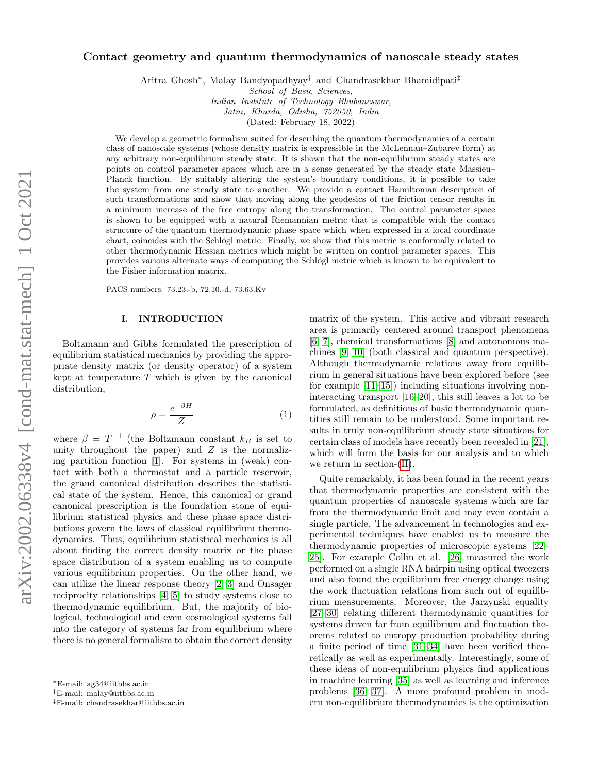# arXiv:2002.06338v4 [cond-mat.stat-mech] 1 Oct 2021 arXiv:2002.06338v4 [cond-mat.stat-mech] 1 Oct 2021

# Contact geometry and quantum thermodynamics of nanoscale steady states

Aritra Ghosh<sup>∗</sup> , Malay Bandyopadhyay† and Chandrasekhar Bhamidipati‡

School of Basic Sciences,

Indian Institute of Technology Bhubaneswar,

Jatni, Khurda, Odisha, 752050, India

(Dated: February 18, 2022)

We develop a geometric formalism suited for describing the quantum thermodynamics of a certain class of nanoscale systems (whose density matrix is expressible in the McLennan–Zubarev form) at any arbitrary non-equilibrium steady state. It is shown that the non-equilibrium steady states are points on control parameter spaces which are in a sense generated by the steady state Massieu– Planck function. By suitably altering the system's boundary conditions, it is possible to take the system from one steady state to another. We provide a contact Hamiltonian description of such transformations and show that moving along the geodesics of the friction tensor results in a minimum increase of the free entropy along the transformation. The control parameter space is shown to be equipped with a natural Riemannian metric that is compatible with the contact structure of the quantum thermodynamic phase space which when expressed in a local coordinate chart, coincides with the Schlögl metric. Finally, we show that this metric is conformally related to other thermodynamic Hessian metrics which might be written on control parameter spaces. This provides various alternate ways of computing the Schlögl metric which is known to be equivalent to the Fisher information matrix.

PACS numbers: 73.23.-b, 72.10.-d, 73.63.Kv

### I. INTRODUCTION

Boltzmann and Gibbs formulated the prescription of equilibrium statistical mechanics by providing the appropriate density matrix (or density operator) of a system kept at temperature  $T$  which is given by the canonical distribution,

$$
\rho = \frac{e^{-\beta H}}{Z} \tag{1}
$$

where  $\beta = T^{-1}$  (the Boltzmann constant  $k_B$  is set to unity throughout the paper) and  $Z$  is the normalizing partition function [\[1\]](#page-9-0). For systems in (weak) contact with both a thermostat and a particle reservoir, the grand canonical distribution describes the statistical state of the system. Hence, this canonical or grand canonical prescription is the foundation stone of equilibrium statistical physics and these phase space distributions govern the laws of classical equilibrium thermodynamics. Thus, equilibrium statistical mechanics is all about finding the correct density matrix or the phase space distribution of a system enabling us to compute various equilibrium properties. On the other hand, we can utilize the linear response theory [\[2,](#page-9-1) [3\]](#page-9-2) and Onsager reciprocity relationships [\[4,](#page-9-3) [5\]](#page-9-4) to study systems close to thermodynamic equilibrium. But, the majority of biological, technological and even cosmological systems fall into the category of systems far from equilibrium where there is no general formalism to obtain the correct density

matrix of the system. This active and vibrant research area is primarily centered around transport phenomena [\[6,](#page-9-5) [7\]](#page-9-6), chemical transformations [\[8\]](#page-9-7) and autonomous machines [\[9,](#page-9-8) [10\]](#page-9-9) (both classical and quantum perspective). Although thermodynamic relations away from equilibrium in general situations have been explored before (see for example [\[11–](#page-9-10)[15\]](#page-9-11)) including situations involving noninteracting transport [\[16](#page-9-12)[–20\]](#page-9-13), this still leaves a lot to be formulated, as definitions of basic thermodynamic quantities still remain to be understood. Some important results in truly non-equilibrium steady state situations for certain class of models have recently been revealed in [\[21\]](#page-9-14), which will form the basis for our analysis and to which we return in section-[\(II\)](#page-1-0).

Quite remarkably, it has been found in the recent years that thermodynamic properties are consistent with the quantum properties of nanoscale systems which are far from the thermodynamic limit and may even contain a single particle. The advancement in technologies and experimental techniques have enabled us to measure the thermodynamic properties of microscopic systems [\[22–](#page-9-15) [25\]](#page-9-16). For example Collin et al. [\[26\]](#page-9-17) measured the work performed on a single RNA hairpin using optical tweezers and also found the equilibrium free energy change using the work fluctuation relations from such out of equilibrium measurements. Moreover, the Jarzynski equality [\[27–](#page-9-18)[30\]](#page-9-19) relating different thermodynamic quantities for systems driven far from equilibrium and fluctuation theorems related to entropy production probability during a finite period of time [\[31–](#page-9-20)[34\]](#page-9-21) have been verified theoretically as well as experimentally. Interestingly, some of these ideas of non-equilibrium physics find applications in machine learning [\[35\]](#page-9-22) as well as learning and inference problems [\[36,](#page-9-23) [37\]](#page-10-0). A more profound problem in modern non-equilibrium thermodynamics is the optimization

<sup>∗</sup>E-mail: ag34@iitbbs.ac.in

<sup>†</sup>E-mail: malay@iitbbs.ac.in

<sup>‡</sup>E-mail: chandrasekhar@iitbbs.ac.in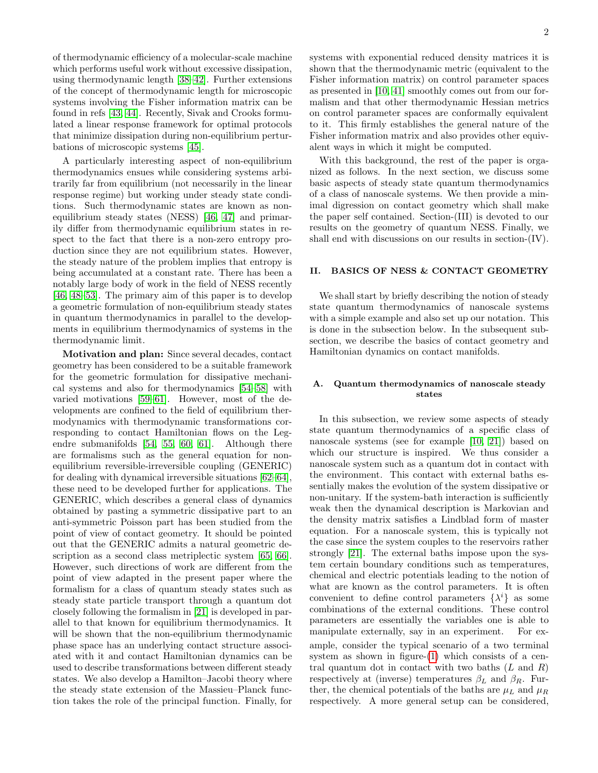of thermodynamic efficiency of a molecular-scale machine which performs useful work without excessive dissipation, using thermodynamic length [\[38–](#page-10-1)[42\]](#page-10-2). Further extensions of the concept of thermodynamic length for microscopic systems involving the Fisher information matrix can be found in refs [\[43,](#page-10-3) [44\]](#page-10-4). Recently, Sivak and Crooks formulated a linear response framework for optimal protocols that minimize dissipation during non-equilibrium perturbations of microscopic systems [\[45\]](#page-10-5).

A particularly interesting aspect of non-equilibrium thermodynamics ensues while considering systems arbitrarily far from equilibrium (not necessarily in the linear response regime) but working under steady state conditions. Such thermodynamic states are known as nonequilibrium steady states (NESS) [\[46,](#page-10-6) [47\]](#page-10-7) and primarily differ from thermodynamic equilibrium states in respect to the fact that there is a non-zero entropy production since they are not equilibrium states. However, the steady nature of the problem implies that entropy is being accumulated at a constant rate. There has been a notably large body of work in the field of NESS recently [\[46,](#page-10-6) [48–](#page-10-8)[53\]](#page-10-9). The primary aim of this paper is to develop a geometric formulation of non-equilibrium steady states in quantum thermodynamics in parallel to the developments in equilibrium thermodynamics of systems in the thermodynamic limit.

Motivation and plan: Since several decades, contact geometry has been considered to be a suitable framework for the geometric formulation for dissipative mechanical systems and also for thermodynamics [\[54](#page-10-10)[–58\]](#page-10-11) with varied motivations [\[59–](#page-10-12)[61\]](#page-10-13). However, most of the developments are confined to the field of equilibrium thermodynamics with thermodynamic transformations corresponding to contact Hamiltonian flows on the Legendre submanifolds [\[54,](#page-10-10) [55,](#page-10-14) [60,](#page-10-15) [61\]](#page-10-13). Although there are formalisms such as the general equation for nonequilibrium reversible-irreversible coupling (GENERIC) for dealing with dynamical irreversible situations [\[62–](#page-10-16)[64\]](#page-10-17), these need to be developed further for applications. The GENERIC, which describes a general class of dynamics obtained by pasting a symmetric dissipative part to an anti-symmetric Poisson part has been studied from the point of view of contact geometry. It should be pointed out that the GENERIC admits a natural geometric de-scription as a second class metriplectic system [\[65,](#page-10-18) [66\]](#page-10-19). However, such directions of work are different from the point of view adapted in the present paper where the formalism for a class of quantum steady states such as steady state particle transport through a quantum dot closely following the formalism in [\[21\]](#page-9-14) is developed in parallel to that known for equilibrium thermodynamics. It will be shown that the non-equilibrium thermodynamic phase space has an underlying contact structure associated with it and contact Hamiltonian dynamics can be used to describe transformations between different steady states. We also develop a Hamilton–Jacobi theory where the steady state extension of the Massieu–Planck function takes the role of the principal function. Finally, for

systems with exponential reduced density matrices it is shown that the thermodynamic metric (equivalent to the Fisher information matrix) on control parameter spaces as presented in [\[10,](#page-9-9) [41\]](#page-10-20) smoothly comes out from our formalism and that other thermodynamic Hessian metrics on control parameter spaces are conformally equivalent to it. This firmly establishes the general nature of the Fisher information matrix and also provides other equivalent ways in which it might be computed.

With this background, the rest of the paper is organized as follows. In the next section, we discuss some basic aspects of steady state quantum thermodynamics of a class of nanoscale systems. We then provide a minimal digression on contact geometry which shall make the paper self contained. Section-(III) is devoted to our results on the geometry of quantum NESS. Finally, we shall end with discussions on our results in section-(IV).

# <span id="page-1-0"></span>II. BASICS OF NESS & CONTACT GEOMETRY

We shall start by briefly describing the notion of steady state quantum thermodynamics of nanoscale systems with a simple example and also set up our notation. This is done in the subsection below. In the subsequent subsection, we describe the basics of contact geometry and Hamiltonian dynamics on contact manifolds.

# A. Quantum thermodynamics of nanoscale steady states

In this subsection, we review some aspects of steady state quantum thermodynamics of a specific class of nanoscale systems (see for example [\[10,](#page-9-9) [21\]](#page-9-14)) based on which our structure is inspired. We thus consider a nanoscale system such as a quantum dot in contact with the environment. This contact with external baths essentially makes the evolution of the system dissipative or non-unitary. If the system-bath interaction is sufficiently weak then the dynamical description is Markovian and the density matrix satisfies a Lindblad form of master equation. For a nanoscale system, this is typically not the case since the system couples to the reservoirs rather strongly [\[21\]](#page-9-14). The external baths impose upon the system certain boundary conditions such as temperatures, chemical and electric potentials leading to the notion of what are known as the control parameters. It is often convenient to define control parameters  $\{\lambda^{i}\}\$ as some combinations of the external conditions. These control parameters are essentially the variables one is able to manipulate externally, say in an experiment. For example, consider the typical scenario of a two terminal system as shown in figure- $(1)$  which consists of a central quantum dot in contact with two baths  $(L \text{ and } R)$ respectively at (inverse) temperatures  $\beta_L$  and  $\beta_R$ . Further, the chemical potentials of the baths are  $\mu_L$  and  $\mu_R$ respectively. A more general setup can be considered,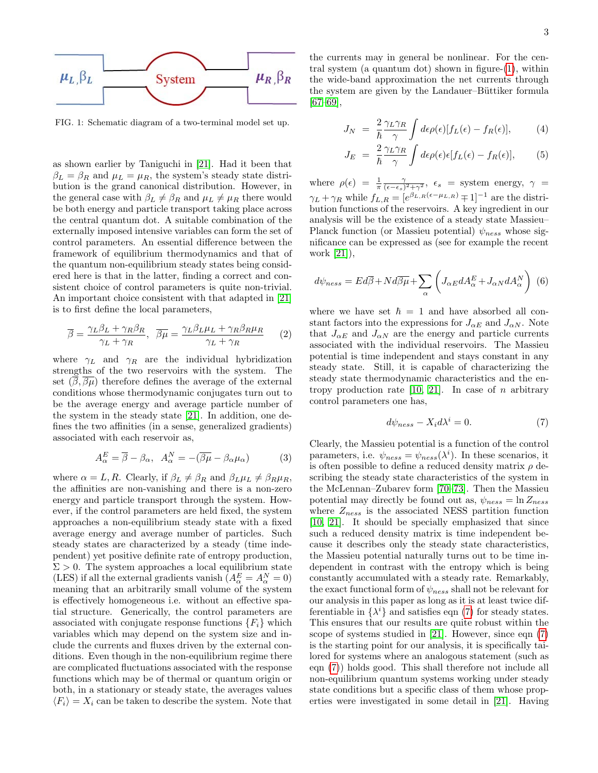

<span id="page-2-0"></span>FIG. 1: Schematic diagram of a two-terminal model set up.

as shown earlier by Taniguchi in [\[21\]](#page-9-14). Had it been that  $\beta_L = \beta_R$  and  $\mu_L = \mu_R$ , the system's steady state distribution is the grand canonical distribution. However, in the general case with  $\beta_L \neq \beta_R$  and  $\mu_L \neq \mu_R$  there would be both energy and particle transport taking place across the central quantum dot. A suitable combination of the externally imposed intensive variables can form the set of control parameters. An essential difference between the framework of equilibrium thermodynamics and that of the quantum non-equilibrium steady states being considered here is that in the latter, finding a correct and consistent choice of control parameters is quite non-trivial. An important choice consistent with that adapted in [\[21\]](#page-9-14) is to first define the local parameters,

$$
\overline{\beta} = \frac{\gamma_L \beta_L + \gamma_R \beta_R}{\gamma_L + \gamma_R}, \quad \overline{\beta \mu} = \frac{\gamma_L \beta_L \mu_L + \gamma_R \beta_R \mu_R}{\gamma_L + \gamma_R} \tag{2}
$$

where  $\gamma_L$  and  $\gamma_R$  are the individual hybridization strengths of the two reservoirs with the system. The set  $(\overline{\beta}, \overline{\beta\mu})$  therefore defines the average of the external conditions whose thermodynamic conjugates turn out to be the average energy and average particle number of the system in the steady state [\[21\]](#page-9-14). In addition, one defines the two affinities (in a sense, generalized gradients) associated with each reservoir as,

$$
A_{\alpha}^{E} = \overline{\beta} - \beta_{\alpha}, \quad A_{\alpha}^{N} = -(\overline{\beta\mu} - \beta_{\alpha}\mu_{\alpha})
$$
(3)

where  $\alpha = L, R$ . Clearly, if  $\beta_L \neq \beta_R$  and  $\beta_L \mu_L \neq \beta_R \mu_R$ , the affinities are non-vanishing and there is a non-zero energy and particle transport through the system. However, if the control parameters are held fixed, the system approaches a non-equilibrium steady state with a fixed average energy and average number of particles. Such steady states are characterized by a steady (time independent) yet positive definite rate of entropy production,  $\Sigma > 0$ . The system approaches a local equilibrium state (LES) if all the external gradients vanish  $(A_\alpha^E=A_\alpha^N=0)$ meaning that an arbitrarily small volume of the system is effectively homogeneous i.e. without an effective spatial structure. Generically, the control parameters are associated with conjugate response functions  ${F_i}$  which variables which may depend on the system size and include the currents and fluxes driven by the external conditions. Even though in the non-equilibrium regime there are complicated fluctuations associated with the response functions which may be of thermal or quantum origin or both, in a stationary or steady state, the averages values  $\langle F_i \rangle = X_i$  can be taken to describe the system. Note that

the currents may in general be nonlinear. For the central system (a quantum dot) shown in figure-[\(1\)](#page-2-0), within the wide-band approximation the net currents through the system are given by the Landauer–Büttiker formula [\[67–](#page-10-21)[69\]](#page-10-22),

$$
J_N = \frac{2}{\hbar} \frac{\gamma_L \gamma_R}{\gamma} \int d\epsilon \rho(\epsilon) [f_L(\epsilon) - f_R(\epsilon)], \tag{4}
$$

$$
J_E = \frac{2}{\hbar} \frac{\gamma_L \gamma_R}{\gamma} \int d\epsilon \rho(\epsilon) \epsilon [f_L(\epsilon) - f_R(\epsilon)], \qquad (5)
$$

where  $\rho(\epsilon) = \frac{1}{\pi} \frac{\gamma}{(\epsilon - \epsilon_s)^2 + \gamma^2}$ ,  $\epsilon_s$  = system energy,  $\gamma$  =  $\gamma_L + \gamma_R$  while  $f_{L,R} = [e^{\beta_{L,R}(\epsilon - \mu_{L,R})} \mp 1]^{-1}$  are the distribution functions of the reservoirs. A key ingredient in our analysis will be the existence of a steady state Massieu– Planck function (or Massieu potential)  $\psi_{ness}$  whose significance can be expressed as (see for example the recent work [\[21\]](#page-9-14)),

$$
d\psi_{ness} = Ed\overline{\beta} + Nd\overline{\beta}\overline{\mu} + \sum_{\alpha} \left( J_{\alpha E} dA_{\alpha}^{E} + J_{\alpha N} dA_{\alpha}^{N} \right) (6)
$$

where we have set  $\hbar = 1$  and have absorbed all constant factors into the expressions for  $J_{\alpha E}$  and  $J_{\alpha N}$ . Note that  $J_{\alpha E}$  and  $J_{\alpha N}$  are the energy and particle currents associated with the individual reservoirs. The Massieu potential is time independent and stays constant in any steady state. Still, it is capable of characterizing the steady state thermodynamic characteristics and the entropy production rate  $[10, 21]$  $[10, 21]$ . In case of *n* arbitrary control parameters one has,

<span id="page-2-1"></span>
$$
d\psi_{ness} - X_i d\lambda^i = 0.
$$
 (7)

Clearly, the Massieu potential is a function of the control parameters, i.e.  $\psi_{ness} = \psi_{ness}(\lambda^i)$ . In these scenarios, it is often possible to define a reduced density matrix  $\rho$  describing the steady state characteristics of the system in the McLennan–Zubarev form [\[70–](#page-10-23)[73\]](#page-10-24). Then the Massieu potential may directly be found out as,  $\psi_{ness} = \ln Z_{ness}$ where  $Z_{ness}$  is the associated NESS partition function [\[10,](#page-9-9) [21\]](#page-9-14). It should be specially emphasized that since such a reduced density matrix is time independent because it describes only the steady state characteristics, the Massieu potential naturally turns out to be time independent in contrast with the entropy which is being constantly accumulated with a steady rate. Remarkably, the exact functional form of  $\psi_{ness}$  shall not be relevant for our analysis in this paper as long as it is at least twice differentiable in  $\{\lambda^i\}$  and satisfies eqn [\(7\)](#page-2-1) for steady states. This ensures that our results are quite robust within the scope of systems studied in [\[21\]](#page-9-14). However, since eqn [\(7\)](#page-2-1) is the starting point for our analysis, it is specifically tailored for systems where an analogous statement (such as eqn [\(7\)](#page-2-1)) holds good. This shall therefore not include all non-equilibrium quantum systems working under steady state conditions but a specific class of them whose properties were investigated in some detail in [\[21\]](#page-9-14). Having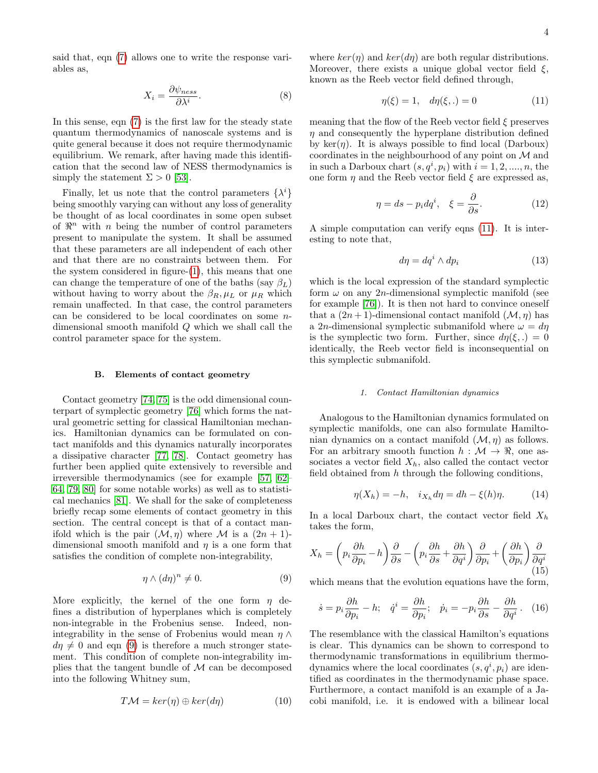said that, eqn [\(7\)](#page-2-1) allows one to write the response variables as,

$$
X_i = \frac{\partial \psi_{ness}}{\partial \lambda^i}.\tag{8}
$$

In this sense, eqn [\(7\)](#page-2-1) is the first law for the steady state quantum thermodynamics of nanoscale systems and is quite general because it does not require thermodynamic equilibrium. We remark, after having made this identification that the second law of NESS thermodynamics is simply the statement  $\Sigma > 0$  [\[53\]](#page-10-9).

Finally, let us note that the control parameters  $\{\lambda^i\}$ being smoothly varying can without any loss of generality be thought of as local coordinates in some open subset of  $\mathbb{R}^n$  with *n* being the number of control parameters present to manipulate the system. It shall be assumed that these parameters are all independent of each other and that there are no constraints between them. For the system considered in figure-[\(1\)](#page-2-0), this means that one can change the temperature of one of the baths (say  $\beta_L$ ) without having to worry about the  $\beta_R, \mu_L$  or  $\mu_R$  which remain unaffected. In that case, the control parameters can be considered to be local coordinates on some ndimensional smooth manifold Q which we shall call the control parameter space for the system.

# B. Elements of contact geometry

Contact geometry [\[74,](#page-10-25) [75\]](#page-10-26) is the odd dimensional counterpart of symplectic geometry [\[76\]](#page-10-27) which forms the natural geometric setting for classical Hamiltonian mechanics. Hamiltonian dynamics can be formulated on contact manifolds and this dynamics naturally incorporates a dissipative character [\[77,](#page-10-28) [78\]](#page-10-29). Contact geometry has further been applied quite extensively to reversible and irreversible thermodynamics (see for example [\[57,](#page-10-30) [62–](#page-10-16) [64,](#page-10-17) [79,](#page-10-31) [80\]](#page-10-32) for some notable works) as well as to statistical mechanics [\[81\]](#page-10-33). We shall for the sake of completeness briefly recap some elements of contact geometry in this section. The central concept is that of a contact manifold which is the pair  $(\mathcal{M}, \eta)$  where M is a  $(2n + 1)$ dimensional smooth manifold and  $\eta$  is a one form that satisfies the condition of complete non-integrability,

<span id="page-3-0"></span>
$$
\eta \wedge (d\eta)^n \neq 0. \tag{9}
$$

More explicitly, the kernel of the one form  $\eta$  defines a distribution of hyperplanes which is completely non-integrable in the Frobenius sense. Indeed, nonintegrability in the sense of Frobenius would mean  $\eta \wedge$  $d\eta \neq 0$  and eqn [\(9\)](#page-3-0) is therefore a much stronger statement. This condition of complete non-integrability implies that the tangent bundle of  $M$  can be decomposed into the following Whitney sum,

$$
T\mathcal{M} = \ker(\eta) \oplus \ker(d\eta) \tag{10}
$$

where  $ker(\eta)$  and  $ker(d\eta)$  are both regular distributions. Moreover, there exists a unique global vector field  $\xi$ , known as the Reeb vector field defined through,

<span id="page-3-1"></span>
$$
\eta(\xi) = 1, \quad d\eta(\xi, .) = 0 \tag{11}
$$

meaning that the flow of the Reeb vector field  $\xi$  preserves  $\eta$  and consequently the hyperplane distribution defined by  $\ker(\eta)$ . It is always possible to find local (Darboux) coordinates in the neighbourhood of any point on M and in such a Darboux chart  $(s, q^i, p_i)$  with  $i = 1, 2, ..., n$ , the one form  $\eta$  and the Reeb vector field  $\xi$  are expressed as,

$$
\eta = ds - p_i dq^i, \quad \xi = \frac{\partial}{\partial s}.
$$
 (12)

A simple computation can verify eqns [\(11\)](#page-3-1). It is interesting to note that,

$$
d\eta = dq^i \wedge dp_i \tag{13}
$$

which is the local expression of the standard symplectic form  $\omega$  on any 2*n*-dimensional symplectic manifold (see for example [\[76\]](#page-10-27)). It is then not hard to convince oneself that a  $(2n+1)$ -dimensional contact manifold  $(\mathcal{M}, \eta)$  has a 2n-dimensional symplectic submanifold where  $\omega = d\eta$ is the symplectic two form. Further, since  $d\eta(\xi,.) = 0$ identically, the Reeb vector field is inconsequential on this symplectic submanifold.

### 1. Contact Hamiltonian dynamics

Analogous to the Hamiltonian dynamics formulated on symplectic manifolds, one can also formulate Hamiltonian dynamics on a contact manifold  $(\mathcal{M}, \eta)$  as follows. For an arbitrary smooth function  $h : \mathcal{M} \to \mathbb{R}$ , one associates a vector field  $X_h$ , also called the contact vector field obtained from  $h$  through the following conditions,

$$
\eta(X_h) = -h, \quad i_{X_h} d\eta = dh - \xi(h)\eta. \tag{14}
$$

In a local Darboux chart, the contact vector field  $X_h$ takes the form,

<span id="page-3-3"></span>
$$
X_h = \left(p_i \frac{\partial h}{\partial p_i} - h\right) \frac{\partial}{\partial s} - \left(p_i \frac{\partial h}{\partial s} + \frac{\partial h}{\partial q^i}\right) \frac{\partial}{\partial p_i} + \left(\frac{\partial h}{\partial p_i}\right) \frac{\partial}{\partial q^i}
$$
(15)

which means that the evolution equations have the form,

<span id="page-3-2"></span>
$$
\dot{s} = p_i \frac{\partial h}{\partial p_i} - h; \quad \dot{q}^i = \frac{\partial h}{\partial p_i}; \quad \dot{p}_i = -p_i \frac{\partial h}{\partial s} - \frac{\partial h}{\partial q^i}. \quad (16)
$$

The resemblance with the classical Hamilton's equations is clear. This dynamics can be shown to correspond to thermodynamic transformations in equilibrium thermodynamics where the local coordinates  $(s, q^i, p_i)$  are identified as coordinates in the thermodynamic phase space. Furthermore, a contact manifold is an example of a Jacobi manifold, i.e. it is endowed with a bilinear local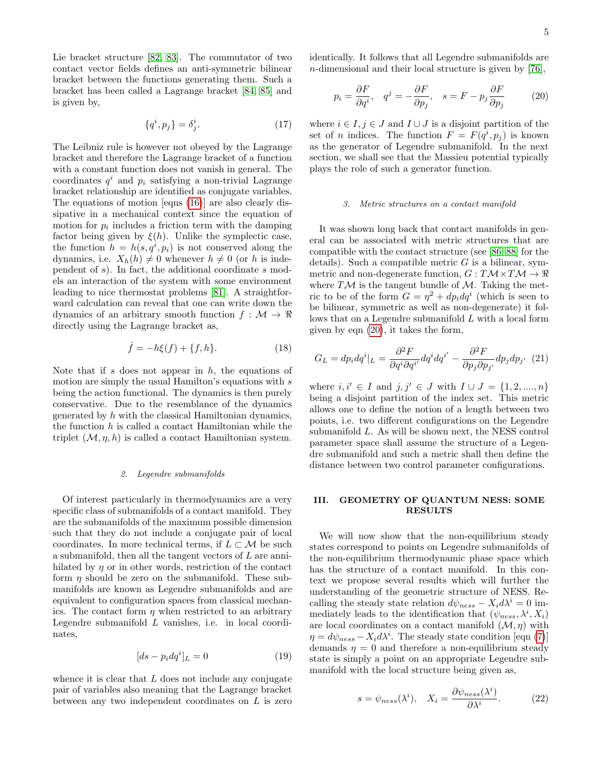Lie bracket structure [\[82,](#page-10-34) [83\]](#page-10-35). The commutator of two contact vector fields defines an anti-symmetric bilinear bracket between the functions generating them. Such a bracket has been called a Lagrange bracket [\[84,](#page-10-36) [85\]](#page-10-37) and is given by,

$$
\{q^i, p_j\} = \delta^i_j. \tag{17}
$$

The Leibniz rule is however not obeyed by the Lagrange bracket and therefore the Lagrange bracket of a function with a constant function does not vanish in general. The coordinates  $q^i$  and  $p_i$  satisfying a non-trivial Lagrange bracket relationship are identified as conjugate variables. The equations of motion [eqns [\(16\)](#page-3-2)] are also clearly dissipative in a mechanical context since the equation of motion for  $p_i$  includes a friction term with the damping factor being given by  $\xi(h)$ . Unlike the symplectic case, the function  $h = h(s, q^i, p_i)$  is not conserved along the dynamics, i.e.  $X_h(h) \neq 0$  whenever  $h \neq 0$  (or h is independent of s). In fact, the additional coordinate s models an interaction of the system with some environment leading to nice thermostat problems [\[81\]](#page-10-33). A straightforward calculation can reveal that one can write down the dynamics of an arbitrary smooth function  $f : \mathcal{M} \to \mathbb{R}$ directly using the Lagrange bracket as,

$$
\dot{f} = -h\xi(f) + \{f, h\}.
$$
 (18)

Note that if s does not appear in  $h$ , the equations of motion are simply the usual Hamilton's equations with  $s$ being the action functional. The dynamics is then purely conservative. Due to the resemblance of the dynamics generated by  $h$  with the classical Hamiltonian dynamics, the function  $h$  is called a contact Hamiltonian while the triplet  $(M, \eta, h)$  is called a contact Hamiltonian system.

### 2. Legendre submanifolds

Of interest particularly in thermodynamics are a very specific class of submanifolds of a contact manifold. They are the submanifolds of the maximum possible dimension such that they do not include a conjugate pair of local coordinates. In more technical terms, if  $L \subset \mathcal{M}$  be such a submanifold, then all the tangent vectors of L are annihilated by  $\eta$  or in other words, restriction of the contact form  $\eta$  should be zero on the submanifold. These submanifolds are known as Legendre submanifolds and are equivalent to configuration spaces from classical mechanics. The contact form  $\eta$  when restricted to an arbitrary Legendre submanifold L vanishes, i.e. in local coordinates,

<span id="page-4-3"></span>
$$
[ds - p_i dq^i]_L = 0 \tag{19}
$$

whence it is clear that  $L$  does not include any conjugate pair of variables also meaning that the Lagrange bracket between any two independent coordinates on  $L$  is zero

identically. It follows that all Legendre submanifolds are n-dimensional and their local structure is given by [\[76\]](#page-10-27),

<span id="page-4-0"></span>
$$
p_i = \frac{\partial F}{\partial q^i}, \quad q^j = -\frac{\partial F}{\partial p_j}, \quad s = F - p_j \frac{\partial F}{\partial p_j} \tag{20}
$$

where  $i \in I, j \in J$  and  $I \cup J$  is a disjoint partition of the set of *n* indices. The function  $F = F(q^i, p_j)$  is known as the generator of Legendre submanifold. In the next section, we shall see that the Massieu potential typically plays the role of such a generator function.

### 3. Metric structures on a contact manifold

It was shown long back that contact manifolds in general can be associated with metric structures that are compatible with the contact structure (see [\[86–](#page-10-38)[88\]](#page-10-39) for the details). Such a compatible metric  $G$  is a bilinear, symmetric and non-degenerate function,  $G: T\mathcal{M} \times T\mathcal{M} \to \mathbb{R}$ where  $T\mathcal{M}$  is the tangent bundle of  $\mathcal{M}$ . Taking the metric to be of the form  $G = \eta^2 + dp_i dq^i$  (which is seen to be bilinear, symmetric as well as non-degenerate) it follows that on a Legendre submanifold L with a local form given by eqn [\(20\)](#page-4-0), it takes the form,

<span id="page-4-2"></span>
$$
G_L = dp_i dq^i|_L = \frac{\partial^2 F}{\partial q^i \partial q^{i'}} dq^i dq^{i'} - \frac{\partial^2 F}{\partial p_j \partial p_{j'}} dp_j dp_{j'} \quad (21)
$$

where  $i, i' \in I$  and  $j, j' \in J$  with  $I \cup J = \{1, 2, ..., n\}$ being a disjoint partition of the index set. This metric allows one to define the notion of a length between two points, i.e. two different configurations on the Legendre submanifold L. As will be shown next, the NESS control parameter space shall assume the structure of a Legendre submanifold and such a metric shall then define the distance between two control parameter configurations.

# III. GEOMETRY OF QUANTUM NESS: SOME RESULTS

We will now show that the non-equilibrium steady states correspond to points on Legendre submanifolds of the non-equilibrium thermodynamic phase space which has the structure of a contact manifold. In this context we propose several results which will further the understanding of the geometric structure of NESS. Recalling the steady state relation  $d\psi_{ness} - X_i d\lambda^i = 0$  immediately leads to the identification that  $(\psi_{ness}, \lambda^i, X_i)$ are local coordinates on a contact manifold  $(\mathcal{M}, \eta)$  with  $\eta = d\psi_{ness} - X_i d\lambda^i$ . The steady state condition [eqn [\(7\)](#page-2-1)] demands  $\eta = 0$  and therefore a non-equilibrium steady state is simply a point on an appropriate Legendre submanifold with the local structure being given as,

<span id="page-4-1"></span>
$$
s = \psi_{ness}(\lambda^i), \quad X_i = \frac{\partial \psi_{ness}(\lambda^i)}{\partial \lambda^i}.
$$
 (22)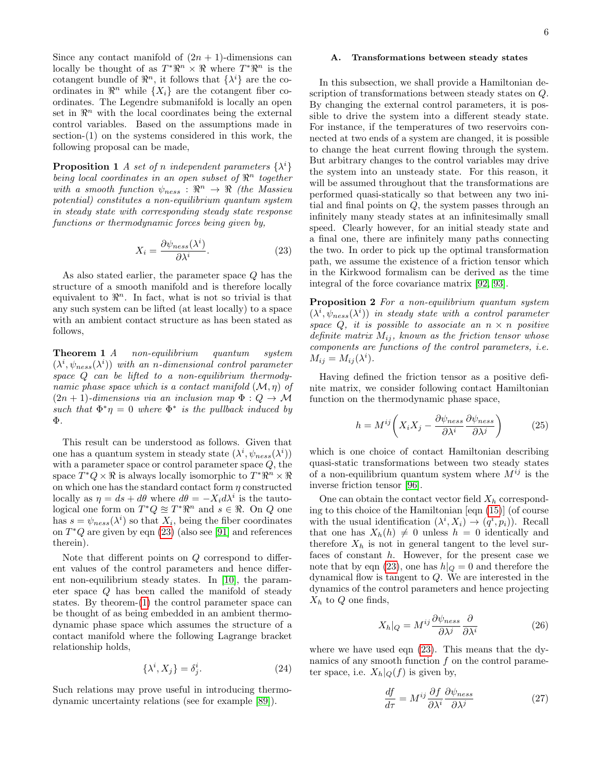Since any contact manifold of  $(2n + 1)$ -dimensions can locally be thought of as  $T^* \mathbb{R}^n \times \mathbb{R}$  where  $T^* \mathbb{R}^n$  is the cotangent bundle of  $\mathbb{R}^n$ , it follows that  $\{\lambda^i\}$  are the coordinates in  $\mathbb{R}^n$  while  $\{X_i\}$  are the cotangent fiber coordinates. The Legendre submanifold is locally an open set in  $\mathbb{R}^n$  with the local coordinates being the external control variables. Based on the assumptions made in section-(1) on the systems considered in this work, the following proposal can be made,

**Proposition 1** A set of n independent parameters  $\{\lambda^i\}$ being local coordinates in an open subset of  $\mathbb{R}^n$  together with a smooth function  $\psi_{ness} : \mathbb{R}^n \to \mathbb{R}$  (the Massieu potential) constitutes a non-equilibrium quantum system in steady state with corresponding steady state response functions or thermodynamic forces being given by,

<span id="page-5-0"></span>
$$
X_i = \frac{\partial \psi_{ness}(\lambda^i)}{\partial \lambda^i}.
$$
 (23)

As also stated earlier, the parameter space Q has the structure of a smooth manifold and is therefore locally equivalent to  $\mathbb{R}^n$ . In fact, what is not so trivial is that any such system can be lifted (at least locally) to a space with an ambient contact structure as has been stated as follows,

<span id="page-5-1"></span>**Theorem 1** A non-equilibrium quantum system  $(\lambda^i, \psi_{ness}(\lambda^i))$  with an n-dimensional control parameter space Q can be lifted to a non-equilibrium thermodynamic phase space which is a contact manifold  $(\mathcal{M}, \eta)$  of  $(2n + 1)$ -dimensions via an inclusion map  $\Phi: Q \to M$ such that  $\Phi^* \eta = 0$  where  $\Phi^*$  is the pullback induced by Φ.

This result can be understood as follows. Given that one has a quantum system in steady state  $(\lambda^i, \psi_{ness}(\lambda^i))$ with a parameter space or control parameter space Q, the space  $T^*Q \times \mathbb{R}$  is always locally isomorphic to  $T^*\mathbb{R}^n \times \mathbb{R}$ on which one has the standard contact form  $\eta$  constructed locally as  $\eta = ds + d\theta$  where  $d\theta = -X_i d\lambda^i$  is the tautological one form on  $T^*Q \approx T^*\Re^n$  and  $s \in \Re$ . On Q one has  $s = \psi_{ness}(\lambda^i)$  so that  $X_i$ , being the fiber coordinates on  $T^*Q$  are given by eqn [\(23\)](#page-5-0) (also see [\[91\]](#page-10-40) and references therein).

Note that different points on Q correspond to different values of the control parameters and hence different non-equilibrium steady states. In [\[10\]](#page-9-9), the parameter space Q has been called the manifold of steady states. By theorem-[\(1\)](#page-5-1) the control parameter space can be thought of as being embedded in an ambient thermodynamic phase space which assumes the structure of a contact manifold where the following Lagrange bracket relationship holds,

$$
\{\lambda^i, X_j\} = \delta^i_j. \tag{24}
$$

Such relations may prove useful in introducing thermodynamic uncertainty relations (see for example [\[89\]](#page-10-41)).

# A. Transformations between steady states

In this subsection, we shall provide a Hamiltonian description of transformations between steady states on Q. By changing the external control parameters, it is possible to drive the system into a different steady state. For instance, if the temperatures of two reservoirs connected at two ends of a system are changed, it is possible to change the heat current flowing through the system. But arbitrary changes to the control variables may drive the system into an unsteady state. For this reason, it will be assumed throughout that the transformations are performed quasi-statically so that between any two initial and final points on Q, the system passes through an infinitely many steady states at an infinitesimally small speed. Clearly however, for an initial steady state and a final one, there are infinitely many paths connecting the two. In order to pick up the optimal transformation path, we assume the existence of a friction tensor which in the Kirkwood formalism can be derived as the time integral of the force covariance matrix [\[92,](#page-10-42) [93\]](#page-10-43).

Proposition 2 For a non-equilibrium quantum system  $(\lambda^i, \psi_{ness}(\lambda^i))$  in steady state with a control parameter space  $Q$ , it is possible to associate an  $n \times n$  positive definite matrix  $M_{ij}$ , known as the friction tensor whose components are functions of the control parameters, i.e.  $M_{ij} = M_{ij}(\lambda^i).$ 

Having defined the friction tensor as a positive definite matrix, we consider following contact Hamiltonian function on the thermodynamic phase space,

<span id="page-5-3"></span>
$$
h = M^{ij} \left( X_i X_j - \frac{\partial \psi_{ness}}{\partial \lambda^i} \frac{\partial \psi_{ness}}{\partial \lambda^j} \right) \tag{25}
$$

which is one choice of contact Hamiltonian describing quasi-static transformations between two steady states of a non-equilibrium quantum system where  $M^{ij}$  is the inverse friction tensor [\[96\]](#page-10-44).

One can obtain the contact vector field  $X_h$  corresponding to this choice of the Hamiltonian [eqn [\(15\)](#page-3-3)] (of course with the usual identification  $(\lambda^i, X_i) \rightarrow (q^i, p_i)$ ). Recall that one has  $X_h(h) \neq 0$  unless  $h = 0$  identically and therefore  $X_h$  is not in general tangent to the level surfaces of constant h. However, for the present case we note that by eqn [\(23\)](#page-5-0), one has  $h|_Q = 0$  and therefore the dynamical flow is tangent to Q. We are interested in the dynamics of the control parameters and hence projecting  $X_h$  to  $Q$  one finds,

$$
X_h|_Q = M^{ij} \frac{\partial \psi_{ness}}{\partial \lambda^j} \frac{\partial}{\partial \lambda^i} \tag{26}
$$

where we have used eqn [\(23\)](#page-5-0). This means that the dynamics of any smooth function  $f$  on the control parameter space, i.e.  $X_h|_{\mathcal{Q}}(f)$  is given by,

<span id="page-5-2"></span>
$$
\frac{df}{d\tau} = M^{ij} \frac{\partial f}{\partial \lambda^i} \frac{\partial \psi_{ness}}{\partial \lambda^j}
$$
 (27)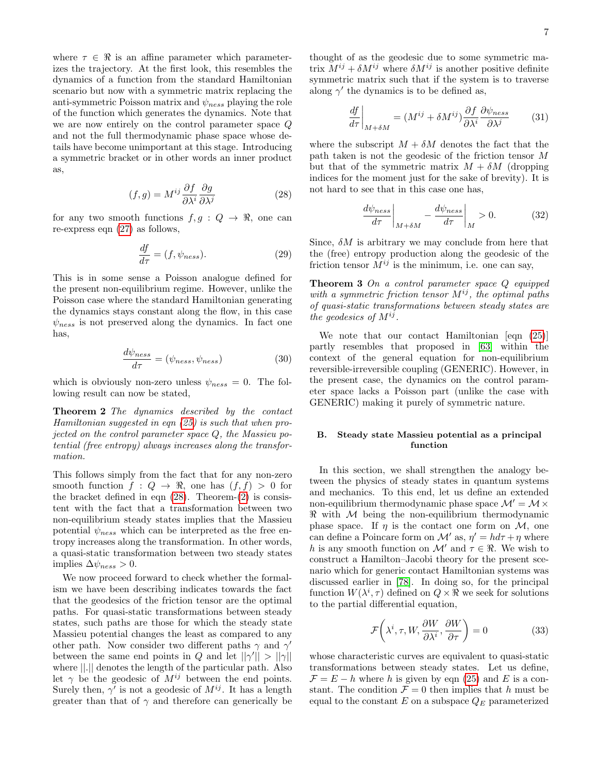where  $\tau \in \Re$  is an affine parameter which parameterizes the trajectory. At the first look, this resembles the dynamics of a function from the standard Hamiltonian scenario but now with a symmetric matrix replacing the anti-symmetric Poisson matrix and  $\psi_{ness}$  playing the role of the function which generates the dynamics. Note that we are now entirely on the control parameter space Q and not the full thermodynamic phase space whose details have become unimportant at this stage. Introducing a symmetric bracket or in other words an inner product as,

<span id="page-6-0"></span>
$$
(f,g) = M^{ij} \frac{\partial f}{\partial \lambda^i} \frac{\partial g}{\partial \lambda^j}
$$
 (28)

for any two smooth functions  $f, g : Q \to \mathbb{R}$ , one can re-express eqn [\(27\)](#page-5-2) as follows,

$$
\frac{df}{d\tau} = (f, \psi_{ness}).\tag{29}
$$

This is in some sense a Poisson analogue defined for the present non-equilibrium regime. However, unlike the Poisson case where the standard Hamiltonian generating the dynamics stays constant along the flow, in this case  $\psi_{ness}$  is not preserved along the dynamics. In fact one has,

<span id="page-6-1"></span>
$$
\frac{d\psi_{ness}}{d\tau} = (\psi_{ness}, \psi_{ness})
$$
\n(30)

which is obviously non-zero unless  $\psi_{ness} = 0$ . The following result can now be stated,

Theorem 2 The dynamics described by the contact Hamiltonian suggested in eqn [\(25\)](#page-5-3) is such that when projected on the control parameter space Q, the Massieu potential (free entropy) always increases along the transformation.

This follows simply from the fact that for any non-zero smooth function  $f: Q \to \mathbb{R}$ , one has  $(f, f) > 0$  for the bracket defined in eqn  $(28)$ . Theorem- $(2)$  is consistent with the fact that a transformation between two non-equilibrium steady states implies that the Massieu potential  $\psi_{ness}$  which can be interpreted as the free entropy increases along the transformation. In other words, a quasi-static transformation between two steady states implies  $\Delta \psi_{ness} > 0$ .

We now proceed forward to check whether the formalism we have been describing indicates towards the fact that the geodesics of the friction tensor are the optimal paths. For quasi-static transformations between steady states, such paths are those for which the steady state Massieu potential changes the least as compared to any other path. Now consider two different paths  $\gamma$  and  $\gamma'$ between the same end points in Q and let  $||\gamma|| > ||\gamma||$ where ||.|| denotes the length of the particular path. Also let  $\gamma$  be the geodesic of  $M^{ij}$  between the end points. Surely then,  $\gamma'$  is not a geodesic of  $M^{ij}$ . It has a length greater than that of  $\gamma$  and therefore can generically be

thought of as the geodesic due to some symmetric matrix  $M^{ij} + \delta M^{ij}$  where  $\delta M^{ij}$  is another positive definite symmetric matrix such that if the system is to traverse along  $\gamma'$  the dynamics is to be defined as,

$$
\left. \frac{df}{d\tau} \right|_{M+\delta M} = (M^{ij} + \delta M^{ij}) \frac{\partial f}{\partial \lambda^i} \frac{\partial \psi_{ness}}{\partial \lambda^j} \tag{31}
$$

where the subscript  $M + \delta M$  denotes the fact that the path taken is not the geodesic of the friction tensor M but that of the symmetric matrix  $M + \delta M$  (dropping indices for the moment just for the sake of brevity). It is not hard to see that in this case one has,

$$
\left. \frac{d\psi_{ness}}{d\tau} \right|_{M+\delta M} - \left. \frac{d\psi_{ness}}{d\tau} \right|_{M} > 0. \tag{32}
$$

Since,  $\delta M$  is arbitrary we may conclude from here that the (free) entropy production along the geodesic of the friction tensor  $M^{ij}$  is the minimum, i.e. one can say,

Theorem 3 On a control parameter space Q equipped with a symmetric friction tensor  $M^{ij}$ , the optimal paths of quasi-static transformations between steady states are the geodesics of  $M^{ij}$ .

We note that our contact Hamiltonian [eqn [\(25\)](#page-5-3)] partly resembles that proposed in [\[63\]](#page-10-45) within the context of the general equation for non-equilibrium reversible-irreversible coupling (GENERIC). However, in the present case, the dynamics on the control parameter space lacks a Poisson part (unlike the case with GENERIC) making it purely of symmetric nature.

# B. Steady state Massieu potential as a principal function

In this section, we shall strengthen the analogy between the physics of steady states in quantum systems and mechanics. To this end, let us define an extended non-equilibrium thermodynamic phase space  $\mathcal{M}' = \mathcal{M} \times$  $\Re$  with M being the non-equilibrium thermodynamic phase space. If  $\eta$  is the contact one form on M, one can define a Poincare form on  $\mathcal{M}'$  as,  $\eta' = h d\tau + \eta$  where h is any smooth function on  $\mathcal{M}'$  and  $\tau \in \mathbb{R}$ . We wish to construct a Hamilton–Jacobi theory for the present scenario which for generic contact Hamiltonian systems was discussed earlier in [\[78\]](#page-10-29). In doing so, for the principal function  $W(\lambda^i, \tau)$  defined on  $Q \times \mathbb{R}$  we seek for solutions to the partial differential equation,

$$
\mathcal{F}\left(\lambda^i, \tau, W, \frac{\partial W}{\partial \lambda^i}, \frac{\partial W}{\partial \tau}\right) = 0
$$
\n(33)

whose characteristic curves are equivalent to quasi-static transformations between steady states. Let us define,  $\mathcal{F} = E - h$  where h is given by eqn [\(25\)](#page-5-3) and E is a constant. The condition  $\mathcal{F} = 0$  then implies that h must be equal to the constant  $E$  on a subspace  $Q_E$  parameterized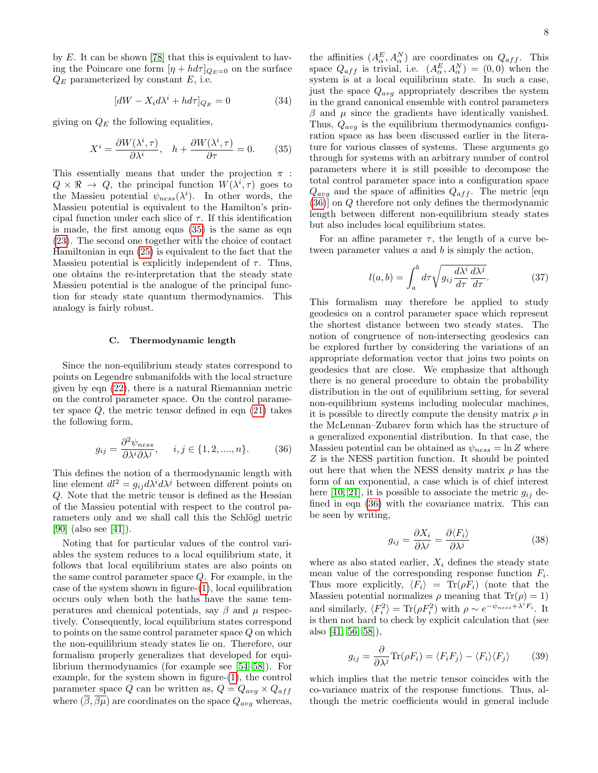by  $E$ . It can be shown [\[78\]](#page-10-29) that this is equivalent to having the Poincare one form  $[\eta + h d\tau]_{Q_E=0}$  on the surface  $Q_E$  parameterized by constant E, i.e.

$$
[dW - X_i d\lambda^i + h d\tau]_{Q_E} = 0 \tag{34}
$$

giving on  $Q_E$  the following equalities,

<span id="page-7-0"></span>
$$
X^{i} = \frac{\partial W(\lambda^{i}, \tau)}{\partial \lambda^{i}}, \quad h + \frac{\partial W(\lambda^{i}, \tau)}{\partial \tau} = 0.
$$
 (35)

This essentially means that under the projection  $\pi$ :  $Q \times \mathbb{R} \to Q$ , the principal function  $W(\lambda^i, \tau)$  goes to the Massieu potential  $\psi_{ness}(\lambda^i)$ . In other words, the Massieu potential is equivalent to the Hamilton's principal function under each slice of  $\tau$ . If this identification is made, the first among eqns [\(35\)](#page-7-0) is the same as eqn [\(23\)](#page-5-0). The second one together with the choice of contact Hamiltonian in eqn [\(25\)](#page-5-3) is equivalent to the fact that the Massieu potential is explicitly independent of  $\tau$ . Thus, one obtains the re-interpretation that the steady state Massieu potential is the analogue of the principal function for steady state quantum thermodynamics. This analogy is fairly robust.

### C. Thermodynamic length

Since the non-equilibrium steady states correspond to points on Legendre submanifolds with the local structure given by eqn [\(22\)](#page-4-1), there is a natural Riemannian metric on the control parameter space. On the control parameter space  $Q$ , the metric tensor defined in eqn  $(21)$  takes the following form,

<span id="page-7-1"></span>
$$
g_{ij} = \frac{\partial^2 \psi_{ness}}{\partial \lambda^i \partial \lambda^j}, \quad i, j \in \{1, 2, ..., n\}.
$$
 (36)

This defines the notion of a thermodynamic length with line element  $dl^2 = g_{ij} d\lambda^i d\lambda^j$  between different points on Q. Note that the metric tensor is defined as the Hessian of the Massieu potential with respect to the control parameters only and we shall call this the Schlögl metric [\[90\]](#page-10-46) (also see [\[41\]](#page-10-20)).

Noting that for particular values of the control variables the system reduces to a local equilibrium state, it follows that local equilibrium states are also points on the same control parameter space Q. For example, in the case of the system shown in figure-[\(1\)](#page-2-0), local equilibration occurs only when both the baths have the same temperatures and chemical potentials, say  $\beta$  and  $\mu$  respectively. Consequently, local equilibrium states correspond to points on the same control parameter space Q on which the non-equilibrium steady states lie on. Therefore, our formalism properly generalizes that developed for equilibrium thermodynamics (for example see [\[54–](#page-10-10)[58\]](#page-10-11)). For example, for the system shown in figure-[\(1\)](#page-2-0), the control parameter space Q can be written as,  $Q = Q_{avg} \times Q_{aff}$ where  $(\overline{\beta}, \overline{\beta\mu})$  are coordinates on the space  $Q_{avg}$  whereas,

the affinities  $(A_{\alpha}^{E}, A_{\alpha}^{N})$  are coordinates on  $Q_{aff}$ . This space  $Q_{aff}$  is trivial, i.e.  $(A_{\alpha}^{E}, A_{\alpha}^{N}) = (0,0)$  when the system is at a local equilibrium state. In such a case, just the space  $Q_{avg}$  appropriately describes the system in the grand canonical ensemble with control parameters  $β$  and  $μ$  since the gradients have identically vanished. Thus,  $Q_{avg}$  is the equilibrium thermodynamics configuration space as has been discussed earlier in the literature for various classes of systems. These arguments go through for systems with an arbitrary number of control parameters where it is still possible to decompose the total control parameter space into a configuration space  $Q_{avg}$  and the space of affinities  $Q_{aff}$ . The metric [eqn [\(36\)](#page-7-1)] on Q therefore not only defines the thermodynamic length between different non-equilibrium steady states but also includes local equilibrium states.

For an affine parameter  $\tau$ , the length of a curve between parameter values  $a$  and  $b$  is simply the action,

$$
l(a,b) = \int_{a}^{b} d\tau \sqrt{g_{ij} \frac{d\lambda^{i}}{d\tau} \frac{d\lambda^{j}}{d\tau}}.
$$
 (37)

This formalism may therefore be applied to study geodesics on a control parameter space which represent the shortest distance between two steady states. The notion of congruence of non-intersecting geodesics can be explored further by considering the variations of an appropriate deformation vector that joins two points on geodesics that are close. We emphasize that although there is no general procedure to obtain the probability distribution in the out of equilibrium setting, for several non-equilibrium systems including molecular machines, it is possible to directly compute the density matrix  $\rho$  in the McLennan–Zubarev form which has the structure of a generalized exponential distribution. In that case, the Massieu potential can be obtained as  $\psi_{ness} = \ln Z$  where Z is the NESS partition function. It should be pointed out here that when the NESS density matrix  $\rho$  has the form of an exponential, a case which is of chief interest here [\[10,](#page-9-9) [21\]](#page-9-14), it is possible to associate the metric  $g_{ij}$  defined in eqn [\(36\)](#page-7-1) with the covariance matrix. This can be seen by writing,

$$
g_{ij} = \frac{\partial X_i}{\partial \lambda^j} = \frac{\partial \langle F_i \rangle}{\partial \lambda^j}
$$
(38)

where as also stated earlier,  $X_i$  defines the steady state mean value of the corresponding response function  $F_i$ . Thus more explicitly,  $\langle F_i \rangle = \text{Tr}(\rho F_i)$  (note that the Massieu potential normalizes  $\rho$  meaning that  $Tr(\rho) = 1$ ) and similarly,  $\langle F_i^2 \rangle = \text{Tr}(\rho F_i^2)$  with  $\rho \sim e^{-\psi_{ness} + \lambda^i F_i}$ . It is then not hard to check by explicit calculation that (see also [\[41,](#page-10-20) [56,](#page-10-47) [58\]](#page-10-11)),

$$
g_{ij} = \frac{\partial}{\partial \lambda^j} \text{Tr}(\rho F_i) = \langle F_i F_j \rangle - \langle F_i \rangle \langle F_j \rangle \tag{39}
$$

which implies that the metric tensor coincides with the co-variance matrix of the response functions. Thus, although the metric coefficients would in general include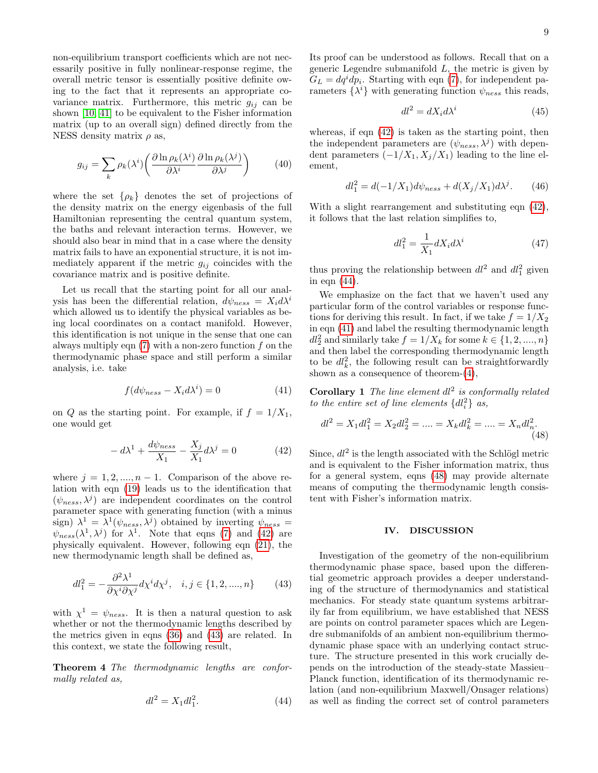non-equilibrium transport coefficients which are not necessarily positive in fully nonlinear-response regime, the overall metric tensor is essentially positive definite owing to the fact that it represents an appropriate covariance matrix. Furthermore, this metric  $g_{ij}$  can be shown [\[10,](#page-9-9) [41\]](#page-10-20) to be equivalent to the Fisher information matrix (up to an overall sign) defined directly from the NESS density matrix  $\rho$  as,

$$
g_{ij} = \sum_{k} \rho_k(\lambda^i) \left( \frac{\partial \ln \rho_k(\lambda^i)}{\partial \lambda^i} \frac{\partial \ln \rho_k(\lambda^j)}{\partial \lambda^j} \right) \tag{40}
$$

where the set  $\{\rho_k\}$  denotes the set of projections of the density matrix on the energy eigenbasis of the full Hamiltonian representing the central quantum system, the baths and relevant interaction terms. However, we should also bear in mind that in a case where the density matrix fails to have an exponential structure, it is not immediately apparent if the metric  $g_{ij}$  coincides with the covariance matrix and is positive definite.

Let us recall that the starting point for all our analysis has been the differential relation,  $d\psi_{ness} = X_i d\lambda^i$ which allowed us to identify the physical variables as being local coordinates on a contact manifold. However, this identification is not unique in the sense that one can always multiply eqn  $(7)$  with a non-zero function f on the thermodynamic phase space and still perform a similar analysis, i.e. take

<span id="page-8-3"></span>
$$
f(d\psi_{ness} - X_i d\lambda^i) = 0 \tag{41}
$$

on Q as the starting point. For example, if  $f = 1/X_1$ , one would get

<span id="page-8-0"></span>
$$
-d\lambda^{1} + \frac{d\psi_{ness}}{X_{1}} - \frac{X_{j}}{X_{1}}d\lambda^{j} = 0
$$
 (42)

where  $j = 1, 2, ..., n - 1$ . Comparison of the above relation with eqn [\(19\)](#page-4-3) leads us to the identification that  $(\psi_{ness}, \lambda^j)$  are independent coordinates on the control parameter space with generating function (with a minus sign)  $\lambda^1 = \lambda^1(\psi_{ness}, \lambda^j)$  obtained by inverting  $\psi_{ness} =$  $\psi_{ness}(\lambda^1, \lambda^j)$  for  $\lambda^1$ . Note that eqns [\(7\)](#page-2-1) and [\(42\)](#page-8-0) are physically equivalent. However, following eqn [\(21\)](#page-4-2), the new thermodynamic length shall be defined as,

<span id="page-8-1"></span>
$$
dl_1^2 = -\frac{\partial^2 \lambda^1}{\partial \chi^i \partial \chi^j} d\chi^i d\chi^j, \quad i, j \in \{1, 2, ..., n\}
$$
 (43)

with  $\chi^1 = \psi_{ness}$ . It is then a natural question to ask whether or not the thermodynamic lengths described by the metrics given in eqns [\(36\)](#page-7-1) and [\(43\)](#page-8-1) are related. In this context, we state the following result,

Theorem 4 The thermodynamic lengths are conformally related as,

<span id="page-8-4"></span><span id="page-8-2"></span>
$$
dl^2 = X_1 dl_1^2. \t\t(44)
$$

Its proof can be understood as follows. Recall that on a generic Legendre submanifold  $L$ , the metric is given by  $G_L = dq^i dp_i$ . Starting with eqn [\(7\)](#page-2-1), for independent parameters  $\{\lambda^i\}$  with generating function  $\psi_{ness}$  this reads,

$$
dl^2 = dX_i d\lambda^i \tag{45}
$$

whereas, if eqn  $(42)$  is taken as the starting point, then the independent parameters are  $(\psi_{ness}, \lambda^j)$  with dependent parameters  $(-1/X_1, X_i/X_1)$  leading to the line element,

$$
dl_1^2 = d(-1/X_1)d\psi_{ness} + d(X_j/X_1)d\lambda^j.
$$
 (46)

With a slight rearrangement and substituting eqn  $(42)$ , it follows that the last relation simplifies to,

$$
dl_1^2 = \frac{1}{X_1} dX_i d\lambda^i \tag{47}
$$

thus proving the relationship between  $dl^2$  and  $dl_1^2$  given in eqn [\(44\)](#page-8-2).

We emphasize on the fact that we haven't used any particular form of the control variables or response functions for deriving this result. In fact, if we take  $f = 1/X_2$ in eqn [\(41\)](#page-8-3) and label the resulting thermodynamic length  $dl_2^2$  and similarly take  $f = 1/X_k$  for some  $k \in \{1, 2, ..., n\}$ and then label the corresponding thermodynamic length to be  $dl_k^2$ , the following result can be straightforwardly shown as a consequence of theorem-[\(4\)](#page-8-4),

**Corollary 1** The line element  $dl^2$  is conformally related to the entire set of line elements  $\{dl_i^2\}$  as,

<span id="page-8-5"></span>
$$
dl^2 = X_1 dl_1^2 = X_2 dl_2^2 = \dots = X_k dl_k^2 = \dots = X_n dl_n^2.
$$
\n(48)

Since,  $dl^2$  is the length associated with the Schlögl metric and is equivalent to the Fisher information matrix, thus for a general system, eqns [\(48\)](#page-8-5) may provide alternate means of computing the thermodynamic length consistent with Fisher's information matrix.

## IV. DISCUSSION

Investigation of the geometry of the non-equilibrium thermodynamic phase space, based upon the differential geometric approach provides a deeper understanding of the structure of thermodynamics and statistical mechanics. For steady state quantum systems arbitrarily far from equilibrium, we have established that NESS are points on control parameter spaces which are Legendre submanifolds of an ambient non-equilibrium thermodynamic phase space with an underlying contact structure. The structure presented in this work crucially depends on the introduction of the steady-state Massieu– Planck function, identification of its thermodynamic relation (and non-equilibrium Maxwell/Onsager relations) as well as finding the correct set of control parameters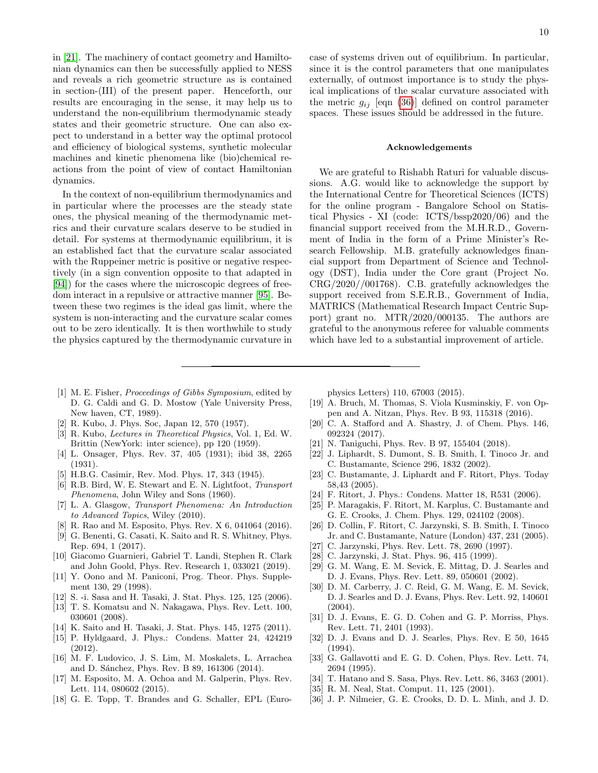in [\[21\]](#page-9-14). The machinery of contact geometry and Hamiltonian dynamics can then be successfully applied to NESS and reveals a rich geometric structure as is contained in section-(III) of the present paper. Henceforth, our results are encouraging in the sense, it may help us to understand the non-equilibrium thermodynamic steady states and their geometric structure. One can also expect to understand in a better way the optimal protocol and efficiency of biological systems, synthetic molecular machines and kinetic phenomena like (bio)chemical reactions from the point of view of contact Hamiltonian dynamics.

In the context of non-equilibrium thermodynamics and in particular where the processes are the steady state ones, the physical meaning of the thermodynamic metrics and their curvature scalars deserve to be studied in detail. For systems at thermodynamic equilibrium, it is an established fact that the curvature scalar associated with the Ruppeiner metric is positive or negative respectively (in a sign convention opposite to that adapted in [\[94\]](#page-10-48)) for the cases where the microscopic degrees of freedom interact in a repulsive or attractive manner [\[95\]](#page-10-49). Between these two regimes is the ideal gas limit, where the system is non-interacting and the curvature scalar comes out to be zero identically. It is then worthwhile to study the physics captured by the thermodynamic curvature in case of systems driven out of equilibrium. In particular, since it is the control parameters that one manipulates externally, of outmost importance is to study the physical implications of the scalar curvature associated with the metric  $g_{ij}$  [eqn [\(36\)](#page-7-1)] defined on control parameter spaces. These issues should be addressed in the future.

### Acknowledgements

We are grateful to Rishabh Raturi for valuable discussions. A.G. would like to acknowledge the support by the International Centre for Theoretical Sciences (ICTS) for the online program - Bangalore School on Statistical Physics - XI (code: ICTS/bssp2020/06) and the financial support received from the M.H.R.D., Government of India in the form of a Prime Minister's Research Fellowship. M.B. gratefully acknowledges financial support from Department of Science and Technology (DST), India under the Core grant (Project No. CRG/2020//001768). C.B. gratefully acknowledges the support received from S.E.R.B., Government of India, MATRICS (Mathematical Research Impact Centric Support) grant no. MTR/2020/000135. The authors are grateful to the anonymous referee for valuable comments which have led to a substantial improvement of article.

- <span id="page-9-0"></span>[1] M. E. Fisher, Proceedings of Gibbs Symposium, edited by D. G. Caldi and G. D. Mostow (Yale University Press, New haven, CT, 1989).
- <span id="page-9-1"></span>[2] R. Kubo, J. Phys. Soc, Japan 12, 570 (1957).
- <span id="page-9-2"></span>[3] R. Kubo, Lectures in Theoretical Physics, Vol. 1, Ed. W. Brittin (NewYork: inter science), pp 120 (1959).
- <span id="page-9-3"></span>[4] L. Onsager, Phys. Rev. 37, 405 (1931); ibid 38, 2265 (1931).
- <span id="page-9-4"></span>[5] H.B.G. Casimir, Rev. Mod. Phys. 17, 343 (1945).
- <span id="page-9-5"></span>[6] R.B. Bird, W. E. Stewart and E. N. Lightfoot, Transport Phenomena, John Wiley and Sons (1960).
- <span id="page-9-6"></span>[7] L. A. Glasgow, Transport Phenomena: An Introduction to Advanced Topics, Wiley (2010).
- <span id="page-9-7"></span>[8] R. Rao and M. Esposito, Phys. Rev. X 6, 041064 (2016).
- <span id="page-9-8"></span>[9] G. Benenti, G. Casati, K. Saito and R. S. Whitney, Phys. Rep. 694, 1 (2017).
- <span id="page-9-9"></span>[10] Giacomo Guarnieri, Gabriel T. Landi, Stephen R. Clark and John Goold, Phys. Rev. Research 1, 033021 (2019).
- <span id="page-9-10"></span>[11] Y. Oono and M. Paniconi, Prog. Theor. Phys. Supplement 130, 29 (1998).
- [12] S. -i. Sasa and H. Tasaki, J. Stat. Phys. 125, 125 (2006).
- [13] T. S. Komatsu and N. Nakagawa, Phys. Rev. Lett. 100, 030601 (2008).
- [14] K. Saito and H. Tasaki, J. Stat. Phys. 145, 1275 (2011).
- <span id="page-9-11"></span>[15] P. Hyldgaard, J. Phys.: Condens. Matter 24, 424219 (2012).
- <span id="page-9-12"></span>[16] M. F. Ludovico, J. S. Lim, M. Moskalets, L. Arrachea and D. Sánchez, Phys. Rev. B 89, 161306 (2014).
- [17] M. Esposito, M. A. Ochoa and M. Galperin, Phys. Rev. Lett. 114, 080602 (2015).
- [18] G. E. Topp, T. Brandes and G. Schaller, EPL (Euro-

physics Letters) 110, 67003 (2015).

- [19] A. Bruch, M. Thomas, S. Viola Kusminskiy, F. von Oppen and A. Nitzan, Phys. Rev. B 93, 115318 (2016).
- <span id="page-9-13"></span>[20] C. A. Stafford and A. Shastry, J. of Chem. Phys. 146, 092324 (2017).
- <span id="page-9-14"></span>[21] N. Taniguchi, Phys. Rev. B 97, 155404 (2018).
- <span id="page-9-15"></span>[22] J. Liphardt, S. Dumont, S. B. Smith, I. Tinoco Jr. and C. Bustamante, Science 296, 1832 (2002).
- [23] C. Bustamante, J. Liphardt and F. Ritort, Phys. Today 58,43 (2005).
- [24] F. Ritort, J. Phys.: Condens. Matter 18, R531 (2006).
- <span id="page-9-16"></span>[25] P. Maragakis, F. Ritort, M. Karplus, C. Bustamante and G. E. Crooks, J. Chem. Phys. 129, 024102 (2008).
- <span id="page-9-17"></span>[26] D. Collin, F. Ritort, C. Jarzynski, S. B. Smith, I. Tinoco Jr. and C. Bustamante, Nature (London) 437, 231 (2005).
- <span id="page-9-18"></span>[27] C. Jarzynski, Phys. Rev. Lett. 78, 2690 (1997).
- [28] C. Jarzynski, J. Stat. Phys. 96, 415 (1999).
- [29] G. M. Wang, E. M. Sevick, E. Mittag, D. J. Searles and D. J. Evans, Phys. Rev. Lett. 89, 050601 (2002).
- <span id="page-9-19"></span>[30] D. M. Carberry, J. C. Reid, G. M. Wang, E. M. Sevick, D. J. Searles and D. J. Evans, Phys. Rev. Lett. 92, 140601 (2004).
- <span id="page-9-20"></span>[31] D. J. Evans, E. G. D. Cohen and G. P. Morriss, Phys. Rev. Lett. 71, 2401 (1993).
- [32] D. J. Evans and D. J. Searles, Phys. Rev. E 50, 1645 (1994).
- [33] G. Gallavotti and E. G. D. Cohen, Phys. Rev. Lett. 74, 2694 (1995).
- <span id="page-9-21"></span>[34] T. Hatano and S. Sasa, Phys. Rev. Lett. 86, 3463 (2001).
- <span id="page-9-22"></span>[35] R. M. Neal, Stat. Comput. 11, 125 (2001).
- <span id="page-9-23"></span>[36] J. P. Nilmeier, G. E. Crooks, D. D. L. Minh, and J. D.